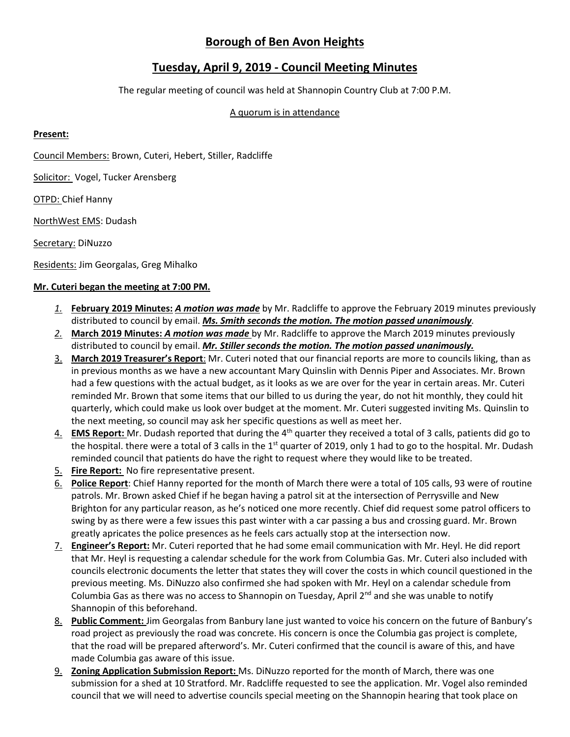# **Borough of Ben Avon Heights**

## **Tuesday, April 9, 2019 - Council Meeting Minutes**

The regular meeting of council was held at Shannopin Country Club at 7:00 P.M.

#### A quorum is in attendance

#### **Present:**

Council Members: Brown, Cuteri, Hebert, Stiller, Radcliffe

Solicitor: Vogel, Tucker Arensberg

OTPD: Chief Hanny

NorthWest EMS: Dudash

Secretary: DiNuzzo

Residents: Jim Georgalas, Greg Mihalko

### **Mr. Cuteri began the meeting at 7:00 PM.**

- *1.* **February 2019 Minutes:** *A motion was made* by Mr. Radcliffe to approve the February 2019 minutes previously distributed to council by email. *Ms. Smith seconds the motion. The motion passed unanimously.*
- *2.* **March 2019 Minutes:** *A motion was made* by Mr. Radcliffe to approve the March 2019 minutes previously distributed to council by email. *Mr. Stiller seconds the motion. The motion passed unanimously.*
- 3. **March 2019 Treasurer's Report**: Mr. Cuteri noted that our financial reports are more to councils liking, than as in previous months as we have a new accountant Mary Quinslin with Dennis Piper and Associates. Mr. Brown had a few questions with the actual budget, as it looks as we are over for the year in certain areas. Mr. Cuteri reminded Mr. Brown that some items that our billed to us during the year, do not hit monthly, they could hit quarterly, which could make us look over budget at the moment. Mr. Cuteri suggested inviting Ms. Quinslin to the next meeting, so council may ask her specific questions as well as meet her.
- 4. **EMS Report:** Mr. Dudash reported that during the 4<sup>th</sup> quarter they received a total of 3 calls, patients did go to the hospital. there were a total of 3 calls in the 1<sup>st</sup> quarter of 2019, only 1 had to go to the hospital. Mr. Dudash reminded council that patients do have the right to request where they would like to be treated.
- 5. **Fire Report:** No fire representative present.
- 6. **Police Report**: Chief Hanny reported for the month of March there were a total of 105 calls, 93 were of routine patrols. Mr. Brown asked Chief if he began having a patrol sit at the intersection of Perrysville and New Brighton for any particular reason, as he's noticed one more recently. Chief did request some patrol officers to swing by as there were a few issues this past winter with a car passing a bus and crossing guard. Mr. Brown greatly apricates the police presences as he feels cars actually stop at the intersection now.
- 7. **Engineer's Report:** Mr. Cuteri reported that he had some email communication with Mr. Heyl. He did report that Mr. Heyl is requesting a calendar schedule for the work from Columbia Gas. Mr. Cuteri also included with councils electronic documents the letter that states they will cover the costs in which council questioned in the previous meeting. Ms. DiNuzzo also confirmed she had spoken with Mr. Heyl on a calendar schedule from Columbia Gas as there was no access to Shannopin on Tuesday, April  $2^{nd}$  and she was unable to notify Shannopin of this beforehand.
- 8. **Public Comment:** Jim Georgalas from Banbury lane just wanted to voice his concern on the future of Banbury's road project as previously the road was concrete. His concern is once the Columbia gas project is complete, that the road will be prepared afterword's. Mr. Cuteri confirmed that the council is aware of this, and have made Columbia gas aware of this issue.
- 9. **Zoning Application Submission Report:** Ms. DiNuzzo reported for the month of March, there was one submission for a shed at 10 Stratford. Mr. Radcliffe requested to see the application. Mr. Vogel also reminded council that we will need to advertise councils special meeting on the Shannopin hearing that took place on